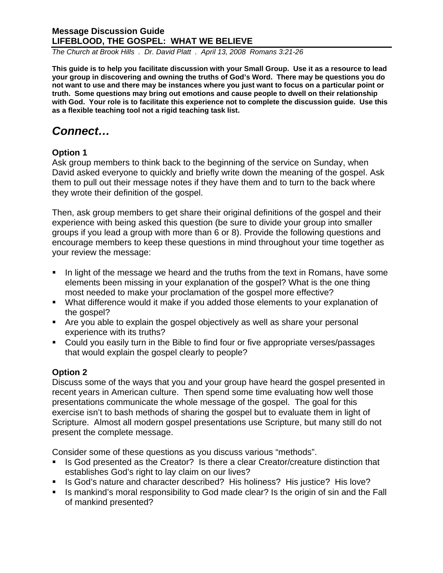*The Church at Brook Hills . Dr. David Platt . April 13, 2008 Romans 3:21-26* 

**This guide is to help you facilitate discussion with your Small Group. Use it as a resource to lead your group in discovering and owning the truths of God's Word. There may be questions you do not want to use and there may be instances where you just want to focus on a particular point or truth. Some questions may bring out emotions and cause people to dwell on their relationship with God. Your role is to facilitate this experience not to complete the discussion guide. Use this as a flexible teaching tool not a rigid teaching task list.** 

# *Connect…*

### **Option 1**

Ask group members to think back to the beginning of the service on Sunday, when David asked everyone to quickly and briefly write down the meaning of the gospel. Ask them to pull out their message notes if they have them and to turn to the back where they wrote their definition of the gospel.

Then, ask group members to get share their original definitions of the gospel and their experience with being asked this question (be sure to divide your group into smaller groups if you lead a group with more than 6 or 8). Provide the following questions and encourage members to keep these questions in mind throughout your time together as your review the message:

- In light of the message we heard and the truths from the text in Romans, have some elements been missing in your explanation of the gospel? What is the one thing most needed to make your proclamation of the gospel more effective?
- What difference would it make if you added those elements to your explanation of the gospel?
- Are you able to explain the gospel objectively as well as share your personal experience with its truths?
- Could you easily turn in the Bible to find four or five appropriate verses/passages that would explain the gospel clearly to people?

## **Option 2**

Discuss some of the ways that you and your group have heard the gospel presented in recent years in American culture. Then spend some time evaluating how well those presentations communicate the whole message of the gospel. The goal for this exercise isn't to bash methods of sharing the gospel but to evaluate them in light of Scripture. Almost all modern gospel presentations use Scripture, but many still do not present the complete message.

Consider some of these questions as you discuss various "methods".

- Is God presented as the Creator? Is there a clear Creator/creature distinction that establishes God's right to lay claim on our lives?
- Is God's nature and character described? His holiness? His justice? His love?
- Is mankind's moral responsibility to God made clear? Is the origin of sin and the Fall of mankind presented?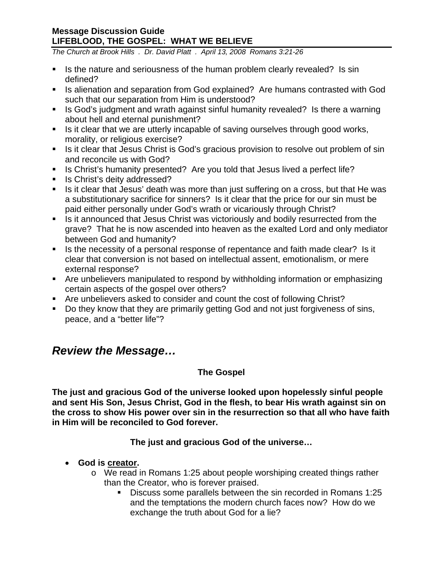*The Church at Brook Hills . Dr. David Platt . April 13, 2008 Romans 3:21-26* 

- If Is the nature and seriousness of the human problem clearly revealed? Is sin defined?
- Is alienation and separation from God explained? Are humans contrasted with God such that our separation from Him is understood?
- If Is God's judgment and wrath against sinful humanity revealed? Is there a warning about hell and eternal punishment?
- Is it clear that we are utterly incapable of saving ourselves through good works, morality, or religious exercise?
- **IF** Is it clear that Jesus Christ is God's gracious provision to resolve out problem of sin and reconcile us with God?
- Is Christ's humanity presented? Are you told that Jesus lived a perfect life?
- **Is Christ's deity addressed?**
- Is it clear that Jesus' death was more than just suffering on a cross, but that He was a substitutionary sacrifice for sinners? Is it clear that the price for our sin must be paid either personally under God's wrath or vicariously through Christ?
- Is it announced that Jesus Christ was victoriously and bodily resurrected from the grave? That he is now ascended into heaven as the exalted Lord and only mediator between God and humanity?
- Is the necessity of a personal response of repentance and faith made clear? Is it clear that conversion is not based on intellectual assent, emotionalism, or mere external response?
- Are unbelievers manipulated to respond by withholding information or emphasizing certain aspects of the gospel over others?
- Are unbelievers asked to consider and count the cost of following Christ?
- Do they know that they are primarily getting God and not just forgiveness of sins, peace, and a "better life"?

# *Review the Message…*

## **The Gospel**

**The just and gracious God of the universe looked upon hopelessly sinful people and sent His Son, Jesus Christ, God in the flesh, to bear His wrath against sin on the cross to show His power over sin in the resurrection so that all who have faith in Him will be reconciled to God forever.** 

## **The just and gracious God of the universe…**

- **God is creator.** 
	- o We read in Romans 1:25 about people worshiping created things rather than the Creator, who is forever praised.
		- Discuss some parallels between the sin recorded in Romans 1:25 and the temptations the modern church faces now? How do we exchange the truth about God for a lie?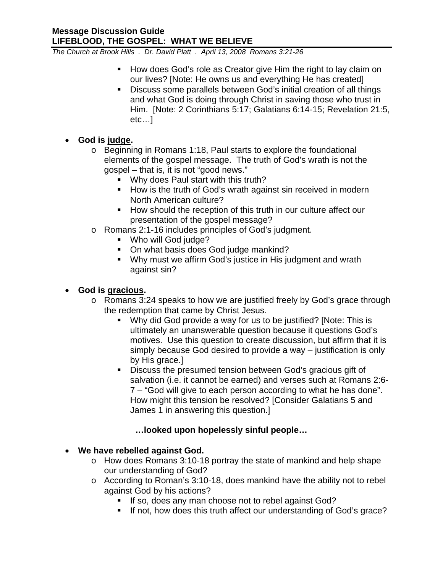*The Church at Brook Hills . Dr. David Platt . April 13, 2008 Romans 3:21-26* 

- **How does God's role as Creator give Him the right to lay claim on** our lives? [Note: He owns us and everything He has created]
- Discuss some parallels between God's initial creation of all things and what God is doing through Christ in saving those who trust in Him. [Note: 2 Corinthians 5:17; Galatians 6:14-15; Revelation 21:5, etc…]

### • **God is judge.**

- o Beginning in Romans 1:18, Paul starts to explore the foundational elements of the gospel message. The truth of God's wrath is not the gospel – that is, it is not "good news."
	- **Why does Paul start with this truth?**
	- **How is the truth of God's wrath against sin received in modern** North American culture?
	- How should the reception of this truth in our culture affect our presentation of the gospel message?
- o Romans 2:1-16 includes principles of God's judgment.
	- **Who will God judge?**
	- On what basis does God judge mankind?
	- Why must we affirm God's justice in His judgment and wrath against sin?

### • **God is gracious.**

- o Romans 3:24 speaks to how we are justified freely by God's grace through the redemption that came by Christ Jesus.
	- Why did God provide a way for us to be justified? [Note: This is ultimately an unanswerable question because it questions God's motives. Use this question to create discussion, but affirm that it is simply because God desired to provide a way – justification is only by His grace.]
	- Discuss the presumed tension between God's gracious gift of salvation (i.e. it cannot be earned) and verses such at Romans 2:6- 7 – "God will give to each person according to what he has done". How might this tension be resolved? [Consider Galatians 5 and James 1 in answering this question.]

## **…looked upon hopelessly sinful people…**

### • **We have rebelled against God.**

- o How does Romans 3:10-18 portray the state of mankind and help shape our understanding of God?
- o According to Roman's 3:10-18, does mankind have the ability not to rebel against God by his actions?
	- If so, does any man choose not to rebel against God?
	- If not, how does this truth affect our understanding of God's grace?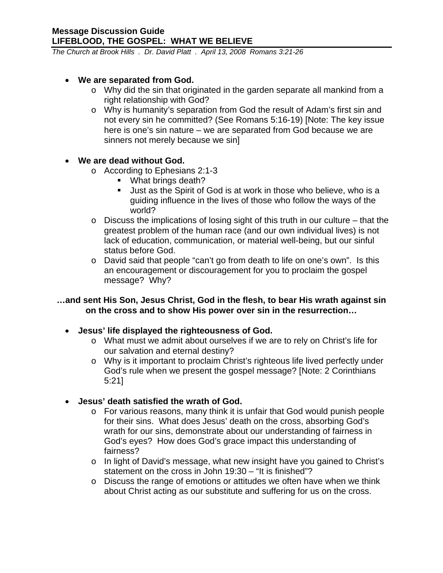*The Church at Brook Hills . Dr. David Platt . April 13, 2008 Romans 3:21-26* 

#### • **We are separated from God.**

- o Why did the sin that originated in the garden separate all mankind from a right relationship with God?
- o Why is humanity's separation from God the result of Adam's first sin and not every sin he committed? (See Romans 5:16-19) [Note: The key issue here is one's sin nature – we are separated from God because we are sinners not merely because we sin]

### • **We are dead without God.**

- o According to Ephesians 2:1-3
	- What brings death?
	- Just as the Spirit of God is at work in those who believe, who is a guiding influence in the lives of those who follow the ways of the world?
- $\circ$  Discuss the implications of losing sight of this truth in our culture that the greatest problem of the human race (and our own individual lives) is not lack of education, communication, or material well-being, but our sinful status before God.
- o David said that people "can't go from death to life on one's own". Is this an encouragement or discouragement for you to proclaim the gospel message? Why?

### **…and sent His Son, Jesus Christ, God in the flesh, to bear His wrath against sin on the cross and to show His power over sin in the resurrection…**

### • **Jesus' life displayed the righteousness of God.**

- o What must we admit about ourselves if we are to rely on Christ's life for our salvation and eternal destiny?
- o Why is it important to proclaim Christ's righteous life lived perfectly under God's rule when we present the gospel message? [Note: 2 Corinthians 5:21]
- **Jesus' death satisfied the wrath of God.** 
	- o For various reasons, many think it is unfair that God would punish people for their sins. What does Jesus' death on the cross, absorbing God's wrath for our sins, demonstrate about our understanding of fairness in God's eyes? How does God's grace impact this understanding of fairness?
	- o In light of David's message, what new insight have you gained to Christ's statement on the cross in John 19:30 – "It is finished"?
	- o Discuss the range of emotions or attitudes we often have when we think about Christ acting as our substitute and suffering for us on the cross.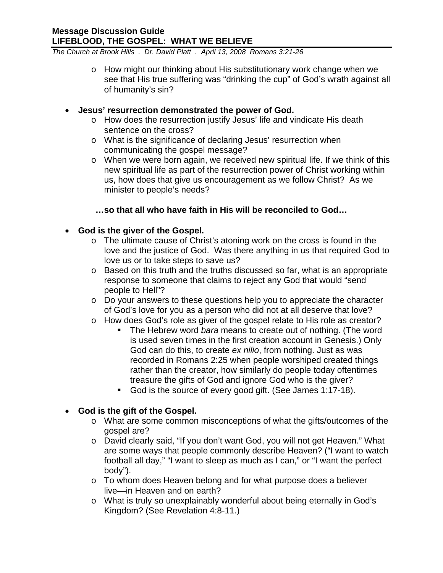*The Church at Brook Hills . Dr. David Platt . April 13, 2008 Romans 3:21-26* 

- o How might our thinking about His substitutionary work change when we see that His true suffering was "drinking the cup" of God's wrath against all of humanity's sin?
- **Jesus' resurrection demonstrated the power of God.** 
	- o How does the resurrection justify Jesus' life and vindicate His death sentence on the cross?
	- o What is the significance of declaring Jesus' resurrection when communicating the gospel message?
	- o When we were born again, we received new spiritual life. If we think of this new spiritual life as part of the resurrection power of Christ working within us, how does that give us encouragement as we follow Christ? As we minister to people's needs?

### **…so that all who have faith in His will be reconciled to God…**

### • **God is the giver of the Gospel.**

- o The ultimate cause of Christ's atoning work on the cross is found in the love and the justice of God. Was there anything in us that required God to love us or to take steps to save us?
- o Based on this truth and the truths discussed so far, what is an appropriate response to someone that claims to reject any God that would "send people to Hell"?
- o Do your answers to these questions help you to appreciate the character of God's love for you as a person who did not at all deserve that love?
- o How does God's role as giver of the gospel relate to His role as creator?
	- The Hebrew word *bara* means to create out of nothing. (The word is used seven times in the first creation account in Genesis.) Only God can do this, to create *ex nilio*, from nothing. Just as was recorded in Romans 2:25 when people worshiped created things rather than the creator, how similarly do people today oftentimes treasure the gifts of God and ignore God who is the giver?
	- God is the source of every good gift. (See James 1:17-18).

## • **God is the gift of the Gospel.**

- o What are some common misconceptions of what the gifts/outcomes of the gospel are?
- o David clearly said, "If you don't want God, you will not get Heaven." What are some ways that people commonly describe Heaven? ("I want to watch football all day," "I want to sleep as much as I can," or "I want the perfect body").
- o To whom does Heaven belong and for what purpose does a believer live—in Heaven and on earth?
- o What is truly so unexplainably wonderful about being eternally in God's Kingdom? (See Revelation 4:8-11.)